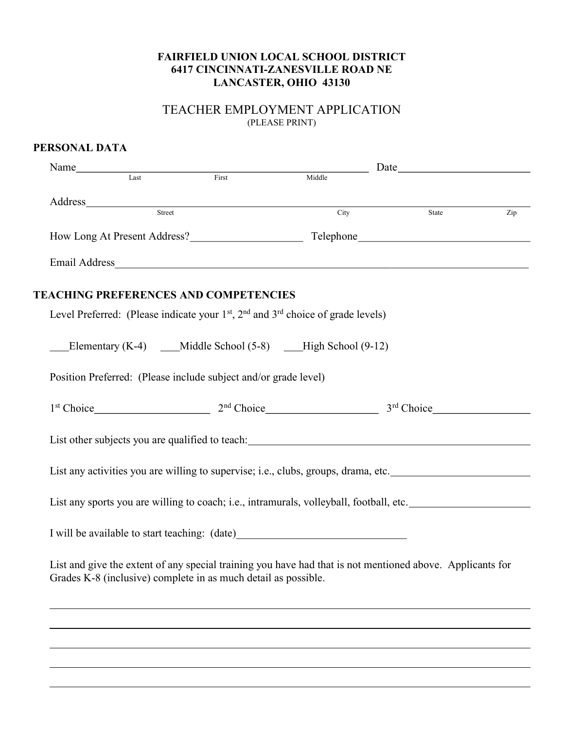### FAIRFIELD UNION LOCAL SCHOOL DISTRICT 6417 CINCINNATI-ZANESVILLE ROAD NE LANCASTER, OHIO 43130

# TEACHER EMPLOYMENT APPLICATION (PLEASE PRINT)

| PERSONAL DATA                                                                                                                                                                                                                  |                                                                                                                                                                                                                                                                                                                                                                                                                                                        |       |     |
|--------------------------------------------------------------------------------------------------------------------------------------------------------------------------------------------------------------------------------|--------------------------------------------------------------------------------------------------------------------------------------------------------------------------------------------------------------------------------------------------------------------------------------------------------------------------------------------------------------------------------------------------------------------------------------------------------|-------|-----|
| Name Iast First First Task State State State State State State State State State State State State State State State State State State State State State State State State State State State State State State State State Sta | $\label{eq:2.1} \frac{1}{\sqrt{2}}\left(\frac{1}{\sqrt{2}}\right)^{2} \left(\frac{1}{\sqrt{2}}\right)^{2} \left(\frac{1}{\sqrt{2}}\right)^{2} \left(\frac{1}{\sqrt{2}}\right)^{2} \left(\frac{1}{\sqrt{2}}\right)^{2} \left(\frac{1}{\sqrt{2}}\right)^{2} \left(\frac{1}{\sqrt{2}}\right)^{2} \left(\frac{1}{\sqrt{2}}\right)^{2} \left(\frac{1}{\sqrt{2}}\right)^{2} \left(\frac{1}{\sqrt{2}}\right)^{2} \left(\frac{1}{\sqrt{2}}\right)^{2} \left(\$ |       |     |
|                                                                                                                                                                                                                                | Middle                                                                                                                                                                                                                                                                                                                                                                                                                                                 |       |     |
|                                                                                                                                                                                                                                |                                                                                                                                                                                                                                                                                                                                                                                                                                                        |       |     |
| Address Street                                                                                                                                                                                                                 | City                                                                                                                                                                                                                                                                                                                                                                                                                                                   | State | Zip |
|                                                                                                                                                                                                                                |                                                                                                                                                                                                                                                                                                                                                                                                                                                        |       |     |
|                                                                                                                                                                                                                                |                                                                                                                                                                                                                                                                                                                                                                                                                                                        |       |     |
| <b>TEACHING PREFERENCES AND COMPETENCIES</b>                                                                                                                                                                                   |                                                                                                                                                                                                                                                                                                                                                                                                                                                        |       |     |
| Level Preferred: (Please indicate your $1st$ , $2nd$ and $3rd$ choice of grade levels)                                                                                                                                         |                                                                                                                                                                                                                                                                                                                                                                                                                                                        |       |     |
| Elementary (K-4) _____ Middle School (5-8) _______ High School (9-12)                                                                                                                                                          |                                                                                                                                                                                                                                                                                                                                                                                                                                                        |       |     |
| Position Preferred: (Please include subject and/or grade level)                                                                                                                                                                |                                                                                                                                                                                                                                                                                                                                                                                                                                                        |       |     |
| $1st Choice$ $3rd Choice$ $3rd Choice$ $3rd Choice$                                                                                                                                                                            |                                                                                                                                                                                                                                                                                                                                                                                                                                                        |       |     |
| List other subjects you are qualified to teach: List other has been also been also been also been also been also been also been also been also been also been also been also been also been also been also been also been also |                                                                                                                                                                                                                                                                                                                                                                                                                                                        |       |     |
| List any activities you are willing to supervise; i.e., clubs, groups, drama, etc.                                                                                                                                             |                                                                                                                                                                                                                                                                                                                                                                                                                                                        |       |     |
| List any sports you are willing to coach; i.e., intramurals, volleyball, football, etc.                                                                                                                                        |                                                                                                                                                                                                                                                                                                                                                                                                                                                        |       |     |
| I will be available to start teaching: (date)                                                                                                                                                                                  |                                                                                                                                                                                                                                                                                                                                                                                                                                                        |       |     |
| List and give the extent of any special training you have had that is not mentioned above. Applicants for<br>Grades K-8 (inclusive) complete in as much detail as possible.                                                    |                                                                                                                                                                                                                                                                                                                                                                                                                                                        |       |     |
|                                                                                                                                                                                                                                |                                                                                                                                                                                                                                                                                                                                                                                                                                                        |       |     |
|                                                                                                                                                                                                                                |                                                                                                                                                                                                                                                                                                                                                                                                                                                        |       |     |
|                                                                                                                                                                                                                                |                                                                                                                                                                                                                                                                                                                                                                                                                                                        |       |     |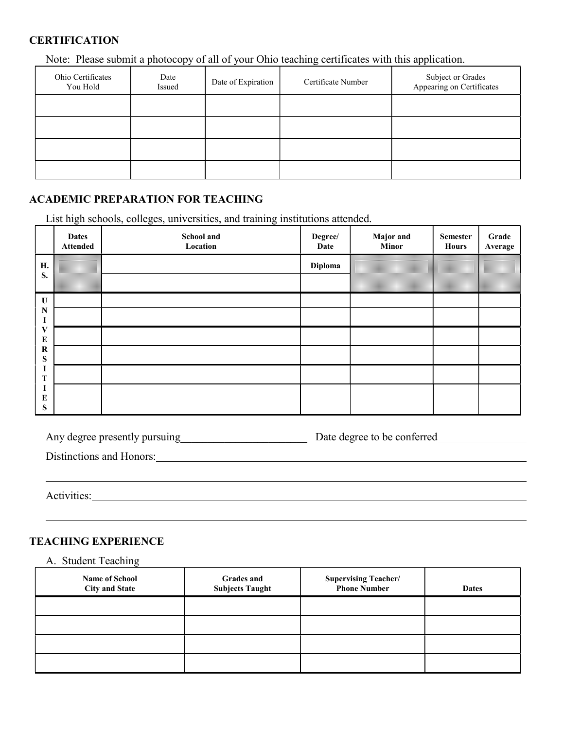# **CERTIFICATION**

Note: Please submit a photocopy of all of your Ohio teaching certificates with this application.

| Ohio Certificates<br>You Hold | Date<br>Issued | Date of Expiration | Certificate Number | Subject or Grades<br>Appearing on Certificates |
|-------------------------------|----------------|--------------------|--------------------|------------------------------------------------|
|                               |                |                    |                    |                                                |
|                               |                |                    |                    |                                                |
|                               |                |                    |                    |                                                |
|                               |                |                    |                    |                                                |

# ACADEMIC PREPARATION FOR TEACHING

List high schools, colleges, universities, and training institutions attended.

|                        | <b>Dates</b><br><b>Attended</b> | School and<br>Location | Degree/<br>Date | <b>Major</b> and<br><b>Minor</b> | <b>Semester</b><br><b>Hours</b> | Grade<br>Average |
|------------------------|---------------------------------|------------------------|-----------------|----------------------------------|---------------------------------|------------------|
| Н.                     |                                 |                        | Diploma         |                                  |                                 |                  |
| S.                     |                                 |                        |                 |                                  |                                 |                  |
| $\mathbf U$            |                                 |                        |                 |                                  |                                 |                  |
| $\mathbf N$<br>ш       |                                 |                        |                 |                                  |                                 |                  |
| V                      |                                 |                        |                 |                                  |                                 |                  |
| ${\bf E}$<br>${\bf R}$ |                                 |                        |                 |                                  |                                 |                  |
| ${\bf S}$              |                                 |                        |                 |                                  |                                 |                  |
| п<br>T                 |                                 |                        |                 |                                  |                                 |                  |
| ш<br>$\bf E$           |                                 |                        |                 |                                  |                                 |                  |
| ${\bf S}$              |                                 |                        |                 |                                  |                                 |                  |

| Any degree presently pursuing | Date degree to be conferred |
|-------------------------------|-----------------------------|
|                               |                             |

| Distinctions and Honors: |  |
|--------------------------|--|
|--------------------------|--|

Activities:

l

## TEACHING EXPERIENCE

A. Student Teaching

| <b>Name of School</b><br><b>City and State</b> | <b>Grades and</b><br><b>Subjects Taught</b> | <b>Supervising Teacher/</b><br><b>Phone Number</b> | <b>Dates</b> |
|------------------------------------------------|---------------------------------------------|----------------------------------------------------|--------------|
|                                                |                                             |                                                    |              |
|                                                |                                             |                                                    |              |
|                                                |                                             |                                                    |              |
|                                                |                                             |                                                    |              |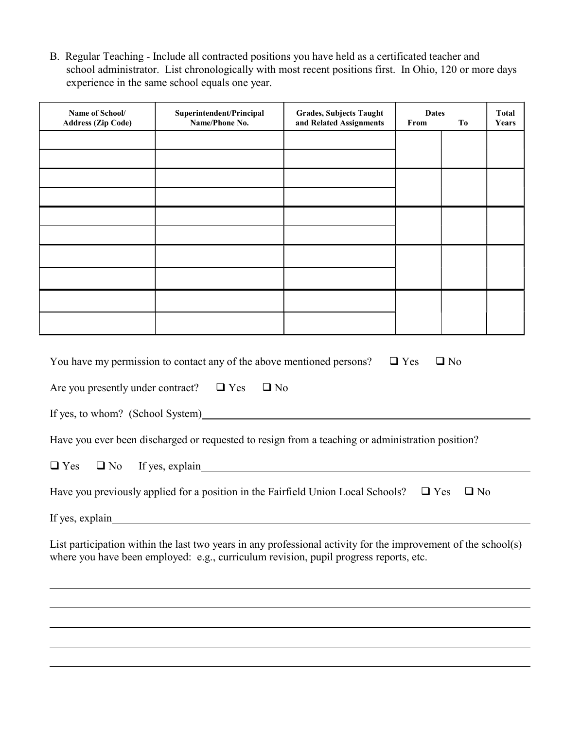B. Regular Teaching - Include all contracted positions you have held as a certificated teacher and school administrator. List chronologically with most recent positions first. In Ohio, 120 or more days experience in the same school equals one year.

| Name of School/<br><b>Address (Zip Code)</b> | Superintendent/Principal<br>Name/Phone No.                                                                                                                                                              | <b>Grades, Subjects Taught</b><br>and Related Assignments | <b>Dates</b><br>From | T <sub>0</sub> | <b>Total</b><br>Years |
|----------------------------------------------|---------------------------------------------------------------------------------------------------------------------------------------------------------------------------------------------------------|-----------------------------------------------------------|----------------------|----------------|-----------------------|
|                                              |                                                                                                                                                                                                         |                                                           |                      |                |                       |
|                                              |                                                                                                                                                                                                         |                                                           |                      |                |                       |
|                                              |                                                                                                                                                                                                         |                                                           |                      |                |                       |
|                                              |                                                                                                                                                                                                         |                                                           |                      |                |                       |
|                                              |                                                                                                                                                                                                         |                                                           |                      |                |                       |
|                                              |                                                                                                                                                                                                         |                                                           |                      |                |                       |
|                                              |                                                                                                                                                                                                         |                                                           |                      |                |                       |
|                                              |                                                                                                                                                                                                         |                                                           |                      |                |                       |
|                                              | You have my permission to contact any of the above mentioned persons?                                                                                                                                   |                                                           | $\Box$ Yes           | $\Box$ No      |                       |
| Are you presently under contract? $\Box$ Yes | $\Box$ No                                                                                                                                                                                               |                                                           |                      |                |                       |
|                                              | If yes, to whom? (School System)                                                                                                                                                                        |                                                           |                      |                |                       |
|                                              | Have you ever been discharged or requested to resign from a teaching or administration position?                                                                                                        |                                                           |                      |                |                       |
| $\Box$ Yes<br>$\Box$ No                      |                                                                                                                                                                                                         |                                                           |                      |                |                       |
|                                              | Have you previously applied for a position in the Fairfield Union Local Schools? $\Box$ Yes                                                                                                             |                                                           |                      | $\square$ No   |                       |
| If yes, explain                              |                                                                                                                                                                                                         |                                                           |                      |                |                       |
|                                              | List participation within the last two years in any professional activity for the improvement of the school(s)<br>where you have been employed: e.g., curriculum revision, pupil progress reports, etc. |                                                           |                      |                |                       |
|                                              |                                                                                                                                                                                                         |                                                           |                      |                |                       |
|                                              |                                                                                                                                                                                                         |                                                           |                      |                |                       |